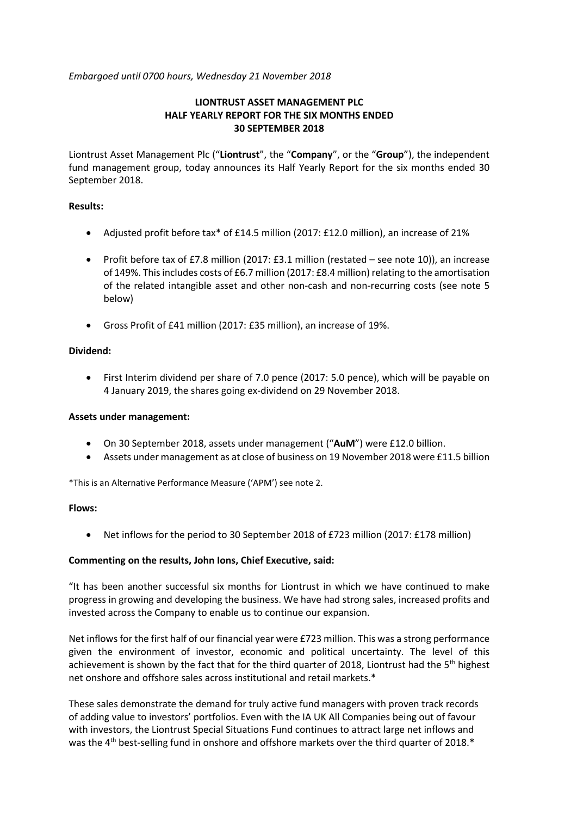*Embargoed until 0700 hours, Wednesday 21 November 2018*

### **LIONTRUST ASSET MANAGEMENT PLC HALF YEARLY REPORT FOR THE SIX MONTHS ENDED 30 SEPTEMBER 2018**

Liontrust Asset Management Plc ("**Liontrust**", the "**Company**", or the "**Group**"), the independent fund management group, today announces its Half Yearly Report for the six months ended 30 September 2018.

### **Results:**

- Adjusted profit before tax\* of £14.5 million (2017: £12.0 million), an increase of 21%
- Profit before tax of £7.8 million (2017: £3.1 million (restated see note 10)), an increase of 149%. This includes costs of £6.7 million (2017: £8.4 million) relating to the amortisation of the related intangible asset and other non-cash and non-recurring costs (see note 5 below)
- Gross Profit of £41 million (2017: £35 million), an increase of 19%.

### **Dividend:**

• First Interim dividend per share of 7.0 pence (2017: 5.0 pence), which will be payable on 4 January 2019, the shares going ex-dividend on 29 November 2018.

### **Assets under management:**

- On 30 September 2018, assets under management ("**AuM**") were £12.0 billion.
- Assets under management as at close of business on 19 November 2018 were £11.5 billion

\*This is an Alternative Performance Measure ('APM') see note 2.

### **Flows:**

• Net inflows for the period to 30 September 2018 of £723 million (2017: £178 million)

### **Commenting on the results, John Ions, Chief Executive, said:**

"It has been another successful six months for Liontrust in which we have continued to make progress in growing and developing the business. We have had strong sales, increased profits and invested across the Company to enable us to continue our expansion.

Net inflows for the first half of our financial year were £723 million. This was a strong performance given the environment of investor, economic and political uncertainty. The level of this achievement is shown by the fact that for the third quarter of 2018, Liontrust had the 5<sup>th</sup> highest net onshore and offshore sales across institutional and retail markets.\*

These sales demonstrate the demand for truly active fund managers with proven track records of adding value to investors' portfolios. Even with the IA UK All Companies being out of favour with investors, the Liontrust Special Situations Fund continues to attract large net inflows and was the 4<sup>th</sup> best-selling fund in onshore and offshore markets over the third quarter of 2018.\*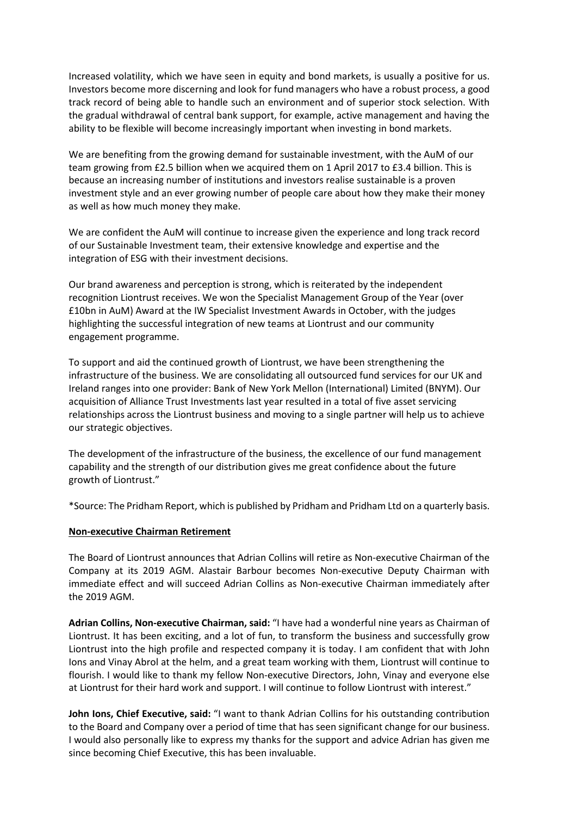Increased volatility, which we have seen in equity and bond markets, is usually a positive for us. Investors become more discerning and look for fund managers who have a robust process, a good track record of being able to handle such an environment and of superior stock selection. With the gradual withdrawal of central bank support, for example, active management and having the ability to be flexible will become increasingly important when investing in bond markets.

We are benefiting from the growing demand for sustainable investment, with the AuM of our team growing from £2.5 billion when we acquired them on 1 April 2017 to £3.4 billion. This is because an increasing number of institutions and investors realise sustainable is a proven investment style and an ever growing number of people care about how they make their money as well as how much money they make.

We are confident the AuM will continue to increase given the experience and long track record of our Sustainable Investment team, their extensive knowledge and expertise and the integration of ESG with their investment decisions.

Our brand awareness and perception is strong, which is reiterated by the independent recognition Liontrust receives. We won the Specialist Management Group of the Year (over £10bn in AuM) Award at the IW Specialist Investment Awards in October, with the judges highlighting the successful integration of new teams at Liontrust and our community engagement programme.

To support and aid the continued growth of Liontrust, we have been strengthening the infrastructure of the business. We are consolidating all outsourced fund services for our UK and Ireland ranges into one provider: Bank of New York Mellon (International) Limited (BNYM). Our acquisition of Alliance Trust Investments last year resulted in a total of five asset servicing relationships across the Liontrust business and moving to a single partner will help us to achieve our strategic objectives.

The development of the infrastructure of the business, the excellence of our fund management capability and the strength of our distribution gives me great confidence about the future growth of Liontrust."

\*Source: The Pridham Report, which is published by Pridham and Pridham Ltd on a quarterly basis.

### **Non-executive Chairman Retirement**

The Board of Liontrust announces that Adrian Collins will retire as Non-executive Chairman of the Company at its 2019 AGM. Alastair Barbour becomes Non-executive Deputy Chairman with immediate effect and will succeed Adrian Collins as Non-executive Chairman immediately after the 2019 AGM.

**Adrian Collins, Non-executive Chairman, said:** "I have had a wonderful nine years as Chairman of Liontrust. It has been exciting, and a lot of fun, to transform the business and successfully grow Liontrust into the high profile and respected company it is today. I am confident that with John Ions and Vinay Abrol at the helm, and a great team working with them, Liontrust will continue to flourish. I would like to thank my fellow Non-executive Directors, John, Vinay and everyone else at Liontrust for their hard work and support. I will continue to follow Liontrust with interest."

**John Ions, Chief Executive, said:** "I want to thank Adrian Collins for his outstanding contribution to the Board and Company over a period of time that has seen significant change for our business. I would also personally like to express my thanks for the support and advice Adrian has given me since becoming Chief Executive, this has been invaluable.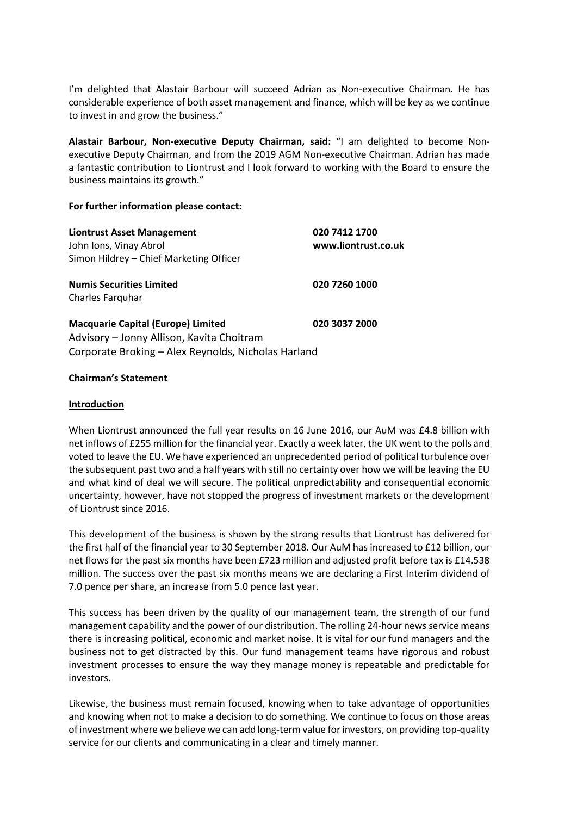I'm delighted that Alastair Barbour will succeed Adrian as Non-executive Chairman. He has considerable experience of both asset management and finance, which will be key as we continue to invest in and grow the business."

**Alastair Barbour, Non-executive Deputy Chairman, said:** "I am delighted to become Nonexecutive Deputy Chairman, and from the 2019 AGM Non-executive Chairman. Adrian has made a fantastic contribution to Liontrust and I look forward to working with the Board to ensure the business maintains its growth."

### **For further information please contact:**

| <b>Liontrust Asset Management</b><br>John Ions, Vinay Abrol<br>Simon Hildrey - Chief Marketing Officer                                        | 020 7412 1700<br>www.liontrust.co.uk |
|-----------------------------------------------------------------------------------------------------------------------------------------------|--------------------------------------|
| <b>Numis Securities Limited</b><br>Charles Farguhar                                                                                           | 020 7260 1000                        |
| <b>Macquarie Capital (Europe) Limited</b><br>Advisory - Jonny Allison, Kavita Choitram<br>Corporate Broking - Alex Reynolds, Nicholas Harland | 020 3037 2000                        |

### **Chairman's Statement**

### **Introduction**

When Liontrust announced the full year results on 16 June 2016, our AuM was £4.8 billion with net inflows of £255 million for the financial year. Exactly a week later, the UK went to the polls and voted to leave the EU. We have experienced an unprecedented period of political turbulence over the subsequent past two and a half years with still no certainty over how we will be leaving the EU and what kind of deal we will secure. The political unpredictability and consequential economic uncertainty, however, have not stopped the progress of investment markets or the development of Liontrust since 2016.

This development of the business is shown by the strong results that Liontrust has delivered for the first half of the financial year to 30 September 2018. Our AuM has increased to £12 billion, our net flows for the past six months have been £723 million and adjusted profit before tax is £14.538 million. The success over the past six months means we are declaring a First Interim dividend of 7.0 pence per share, an increase from 5.0 pence last year.

This success has been driven by the quality of our management team, the strength of our fund management capability and the power of our distribution. The rolling 24-hour news service means there is increasing political, economic and market noise. It is vital for our fund managers and the business not to get distracted by this. Our fund management teams have rigorous and robust investment processes to ensure the way they manage money is repeatable and predictable for investors.

Likewise, the business must remain focused, knowing when to take advantage of opportunities and knowing when not to make a decision to do something. We continue to focus on those areas of investment where we believe we can add long-term value for investors, on providing top-quality service for our clients and communicating in a clear and timely manner.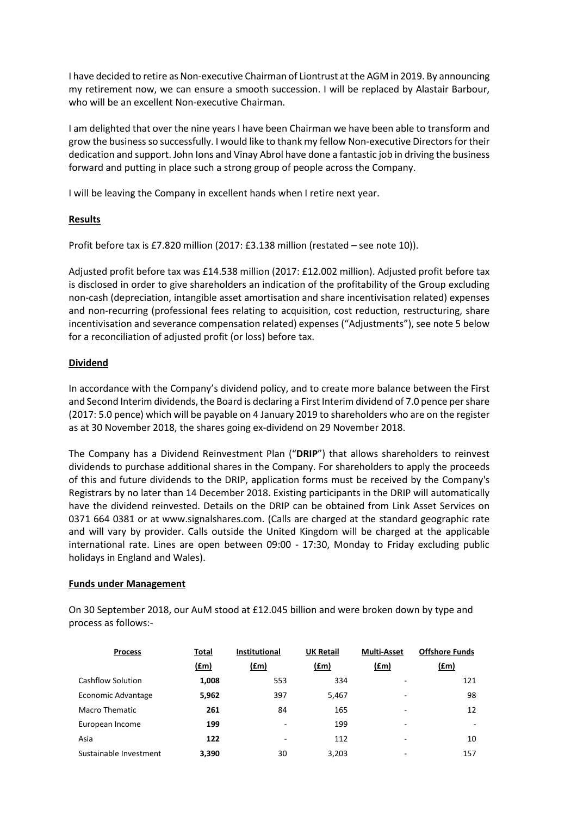I have decided to retire as Non-executive Chairman of Liontrust at the AGM in 2019. By announcing my retirement now, we can ensure a smooth succession. I will be replaced by Alastair Barbour, who will be an excellent Non-executive Chairman.

I am delighted that over the nine years I have been Chairman we have been able to transform and grow the business so successfully. I would like to thank my fellow Non-executive Directors for their dedication and support. John Ions and Vinay Abrol have done a fantastic job in driving the business forward and putting in place such a strong group of people across the Company.

I will be leaving the Company in excellent hands when I retire next year.

### **Results**

Profit before tax is £7.820 million (2017: £3.138 million (restated – see note 10)).

Adjusted profit before tax was £14.538 million (2017: £12.002 million). Adjusted profit before tax is disclosed in order to give shareholders an indication of the profitability of the Group excluding non-cash (depreciation, intangible asset amortisation and share incentivisation related) expenses and non-recurring (professional fees relating to acquisition, cost reduction, restructuring, share incentivisation and severance compensation related) expenses ("Adjustments"), see note 5 below for a reconciliation of adjusted profit (or loss) before tax.

### **Dividend**

In accordance with the Company's dividend policy, and to create more balance between the First and Second Interim dividends, the Board is declaring a First Interim dividend of 7.0 pence per share (2017: 5.0 pence) which will be payable on 4 January 2019 to shareholders who are on the register as at 30 November 2018, the shares going ex-dividend on 29 November 2018.

The Company has a Dividend Reinvestment Plan ("**DRIP**") that allows shareholders to reinvest dividends to purchase additional shares in the Company. For shareholders to apply the proceeds of this and future dividends to the DRIP, application forms must be received by the Company's Registrars by no later than 14 December 2018. Existing participants in the DRIP will automatically have the dividend reinvested. Details on the DRIP can be obtained from Link Asset Services on 0371 664 0381 or at www.signalshares.com. (Calls are charged at the standard geographic rate and will vary by provider. Calls outside the United Kingdom will be charged at the applicable international rate. Lines are open between 09:00 - 17:30, Monday to Friday excluding public holidays in England and Wales).

### **Funds under Management**

On 30 September 2018, our AuM stood at £12.045 billion and were broken down by type and process as follows:-

| <b>Process</b>           | Total | <b>Institutional</b> | <b>UK Retail</b> | <b>Multi-Asset</b> | <b>Offshore Funds</b> |
|--------------------------|-------|----------------------|------------------|--------------------|-----------------------|
|                          | (f.m) | (fm)                 | (fm)             | (f.m)              | (fm)                  |
| <b>Cashflow Solution</b> | 1,008 | 553                  | 334              | ۰                  | 121                   |
| Economic Advantage       | 5,962 | 397                  | 5,467            | -                  | 98                    |
| Macro Thematic           | 261   | 84                   | 165              | -                  | 12                    |
| European Income          | 199   |                      | 199              | -                  |                       |
| Asia                     | 122   |                      | 112              | ٠                  | 10                    |
| Sustainable Investment   | 3.390 | 30                   | 3,203            | -                  | 157                   |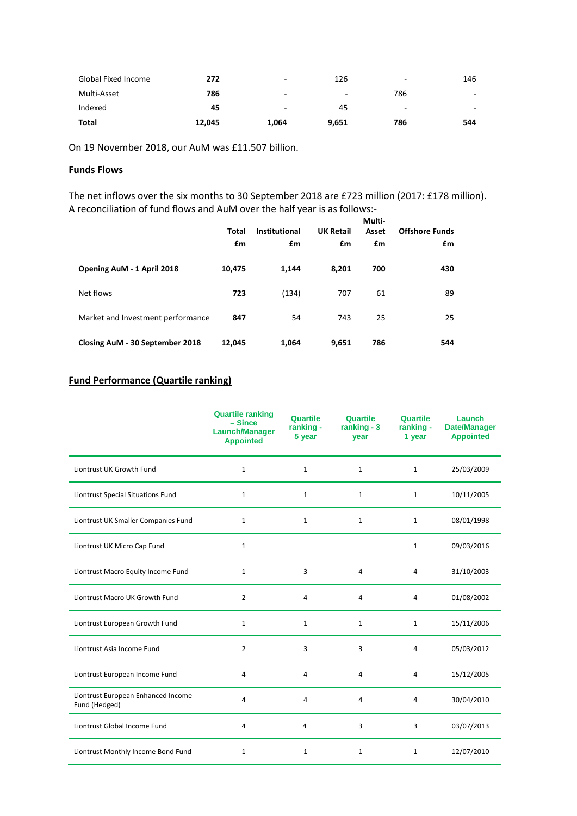| Global Fixed Income | 272    | -     | 126   | ۰   | 146                      |
|---------------------|--------|-------|-------|-----|--------------------------|
| Multi-Asset         | 786    |       | ۰     | 786 | $\sim$                   |
| Indexed             | 45     | -     | 45    | -   | $\overline{\phantom{a}}$ |
| Total               | 12,045 | 1,064 | 9,651 | 786 | 544                      |

On 19 November 2018, our AuM was £11.507 billion.

### **Funds Flows**

The net inflows over the six months to 30 September 2018 are £723 million (2017: £178 million). A reconciliation of fund flows and AuM over the half year is as follows:-

|                                   | Total<br><u>£m</u> | <b>Institutional</b><br><u>£m</u> | <b>UK Retail</b><br>$fm$ | Multi-<br>Asset<br><u>£m</u> | <b>Offshore Funds</b><br><u>£m</u> |
|-----------------------------------|--------------------|-----------------------------------|--------------------------|------------------------------|------------------------------------|
| Opening AuM - 1 April 2018        | 10,475             | 1,144                             | 8,201                    | 700                          | 430                                |
| Net flows                         | 723                | (134)                             | 707                      | 61                           | 89                                 |
| Market and Investment performance | 847                | 54                                | 743                      | 25                           | 25                                 |
| Closing AuM - 30 September 2018   | 12,045             | 1,064                             | 9,651                    | 786                          | 544                                |

## **Fund Performance (Quartile ranking)**

|                                                     | <b>Quartile ranking</b><br>$-$ Since<br><b>Launch/Manager</b><br><b>Appointed</b> | Quartile<br>ranking -<br>5 year | Quartile<br>ranking - 3<br>year | Quartile<br>ranking -<br>1 year | Launch<br><b>Date/Manager</b><br><b>Appointed</b> |
|-----------------------------------------------------|-----------------------------------------------------------------------------------|---------------------------------|---------------------------------|---------------------------------|---------------------------------------------------|
| Liontrust UK Growth Fund                            | $\mathbf{1}$                                                                      | $\mathbf{1}$                    | $\mathbf{1}$                    | $\mathbf{1}$                    | 25/03/2009                                        |
| Liontrust Special Situations Fund                   | $\mathbf{1}$                                                                      | $\mathbf{1}$                    | $\mathbf{1}$                    | $\mathbf{1}$                    | 10/11/2005                                        |
| Liontrust UK Smaller Companies Fund                 | $\mathbf{1}$                                                                      | $\mathbf{1}$                    | 1                               | $\mathbf{1}$                    | 08/01/1998                                        |
| Liontrust UK Micro Cap Fund                         | $\mathbf{1}$                                                                      |                                 |                                 | $\mathbf{1}$                    | 09/03/2016                                        |
| Liontrust Macro Equity Income Fund                  | 1                                                                                 | 3                               | 4                               | $\overline{4}$                  | 31/10/2003                                        |
| Liontrust Macro UK Growth Fund                      | 2                                                                                 | 4                               | 4                               | 4                               | 01/08/2002                                        |
| Liontrust European Growth Fund                      | $\mathbf{1}$                                                                      | $\mathbf{1}$                    | $\mathbf{1}$                    | $\mathbf{1}$                    | 15/11/2006                                        |
| Liontrust Asia Income Fund                          | $\overline{2}$                                                                    | 3                               | 3                               | 4                               | 05/03/2012                                        |
| Liontrust European Income Fund                      | 4                                                                                 | 4                               | 4                               | 4                               | 15/12/2005                                        |
| Liontrust European Enhanced Income<br>Fund (Hedged) | 4                                                                                 | 4                               | 4                               | 4                               | 30/04/2010                                        |
| Liontrust Global Income Fund                        | 4                                                                                 | 4                               | 3                               | 3                               | 03/07/2013                                        |
| Liontrust Monthly Income Bond Fund                  | $\mathbf{1}$                                                                      | $\mathbf{1}$                    | $\mathbf{1}$                    | $\mathbf{1}$                    | 12/07/2010                                        |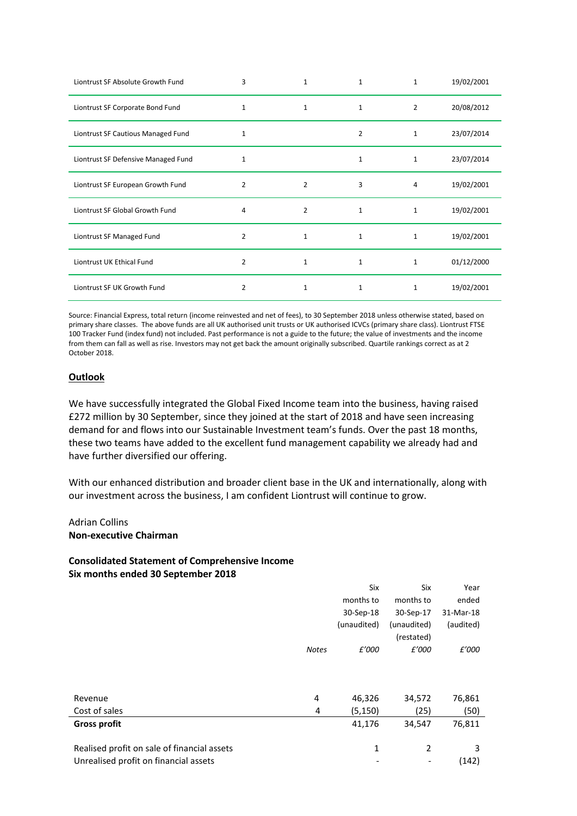| Liontrust SF Absolute Growth Fund   | 3              | $\mathbf{1}$   | 1              | $\mathbf{1}$   | 19/02/2001 |
|-------------------------------------|----------------|----------------|----------------|----------------|------------|
| Liontrust SF Corporate Bond Fund    | $\mathbf{1}$   | $\mathbf{1}$   | $\mathbf{1}$   | $\overline{2}$ | 20/08/2012 |
| Liontrust SF Cautious Managed Fund  | 1              |                | $\overline{2}$ | $\mathbf 1$    | 23/07/2014 |
| Liontrust SF Defensive Managed Fund | $\mathbf{1}$   |                | $\mathbf{1}$   | $\mathbf 1$    | 23/07/2014 |
| Liontrust SF European Growth Fund   | $\overline{2}$ | 2              | 3              | 4              | 19/02/2001 |
| Liontrust SF Global Growth Fund     | 4              | $\overline{2}$ | $\mathbf{1}$   | $\mathbf 1$    | 19/02/2001 |
| Liontrust SF Managed Fund           | 2              | $\mathbf{1}$   | $\mathbf{1}$   | 1              | 19/02/2001 |
| Liontrust UK Ethical Fund           | 2              | $\mathbf{1}$   | $\mathbf{1}$   | 1              | 01/12/2000 |
| Liontrust SF UK Growth Fund         | $\overline{2}$ | $\mathbf{1}$   | 1              | 1              | 19/02/2001 |

Source: Financial Express, total return (income reinvested and net of fees), to 30 September 2018 unless otherwise stated, based on primary share classes. The above funds are all UK authorised unit trusts or UK authorised ICVCs (primary share class). Liontrust FTSE 100 Tracker Fund (index fund) not included. Past performance is not a guide to the future; the value of investments and the income from them can fall as well as rise. Investors may not get back the amount originally subscribed. Quartile rankings correct as at 2 October 2018.

### **Outlook**

We have successfully integrated the Global Fixed Income team into the business, having raised £272 million by 30 September, since they joined at the start of 2018 and have seen increasing demand for and flows into our Sustainable Investment team's funds. Over the past 18 months, these two teams have added to the excellent fund management capability we already had and have further diversified our offering.

With our enhanced distribution and broader client base in the UK and internationally, along with our investment across the business, I am confident Liontrust will continue to grow.

### Adrian Collins **Non-executive Chairman**

# **Consolidated Statement of Comprehensive Income Six months ended 30 September 2018**

|                                             |              | Six         | Six         | Year      |
|---------------------------------------------|--------------|-------------|-------------|-----------|
|                                             |              | months to   | months to   | ended     |
|                                             |              | 30-Sep-18   | 30-Sep-17   | 31-Mar-18 |
|                                             |              | (unaudited) | (unaudited) | (audited) |
|                                             |              |             | (restated)  |           |
|                                             | <b>Notes</b> | £'000       | £'000       | £'000     |
|                                             |              |             |             |           |
|                                             |              |             |             |           |
|                                             |              |             |             |           |
| Revenue                                     | 4            | 46,326      | 34,572      | 76,861    |
| Cost of sales                               | 4            | (5, 150)    | (25)        | (50)      |
| <b>Gross profit</b>                         |              | 41,176      | 34,547      | 76,811    |
|                                             |              |             |             |           |
| Realised profit on sale of financial assets |              | 1           | 2           | 3         |
| Unrealised profit on financial assets       |              |             |             | (142)     |
|                                             |              |             |             |           |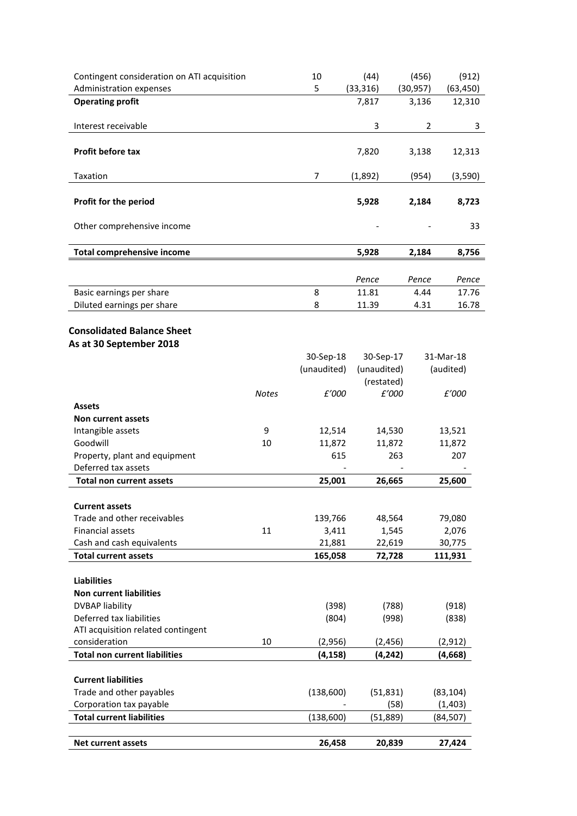| Contingent consideration on ATI acquisition<br>Administration expenses |              | 10<br>5     | (44)<br>(33, 316)   | (456)<br>(30, 957) | (912)<br>(63, 450) |
|------------------------------------------------------------------------|--------------|-------------|---------------------|--------------------|--------------------|
| <b>Operating profit</b>                                                |              |             | 7,817               | 3,136              | 12,310             |
|                                                                        |              |             |                     |                    |                    |
| Interest receivable                                                    |              |             | 3                   | 2                  | 3                  |
| Profit before tax                                                      |              |             | 7,820               | 3,138              | 12,313             |
| Taxation                                                               |              | 7           | (1,892)             | (954)              | (3,590)            |
| Profit for the period                                                  |              |             | 5,928               | 2,184              | 8,723              |
|                                                                        |              |             |                     |                    |                    |
| Other comprehensive income                                             |              |             |                     |                    | 33                 |
| <b>Total comprehensive income</b>                                      |              |             | 5,928               | 2,184              | 8,756              |
|                                                                        |              |             |                     |                    |                    |
| Basic earnings per share                                               |              | 8           | Pence<br>11.81      | Pence<br>4.44      | Pence<br>17.76     |
| Diluted earnings per share                                             |              | 8           | 11.39               | 4.31               | 16.78              |
|                                                                        |              |             |                     |                    |                    |
| <b>Consolidated Balance Sheet</b>                                      |              |             |                     |                    |                    |
| As at 30 September 2018                                                |              |             |                     |                    |                    |
|                                                                        |              | 30-Sep-18   | 30-Sep-17           |                    | 31-Mar-18          |
|                                                                        |              | (unaudited) | (unaudited)         |                    | (audited)          |
|                                                                        | <b>Notes</b> | £'000       | (restated)<br>£'000 |                    | £'000              |
| <b>Assets</b>                                                          |              |             |                     |                    |                    |
| Non current assets                                                     |              |             |                     |                    |                    |
| Intangible assets                                                      | 9            | 12,514      | 14,530              |                    | 13,521             |
| Goodwill                                                               | 10           | 11,872      | 11,872              |                    | 11,872             |
| Property, plant and equipment                                          |              | 615         |                     | 263                | 207                |
| Deferred tax assets                                                    |              |             |                     |                    |                    |
| <b>Total non current assets</b>                                        |              | 25,001      | 26,665              |                    | 25,600             |
| <b>Current assets</b>                                                  |              |             |                     |                    |                    |
| Trade and other receivables                                            |              | 139,766     | 48,564              |                    | 79,080             |
| <b>Financial assets</b>                                                | 11           | 3,411       | 1,545               |                    | 2,076              |
| Cash and cash equivalents                                              |              | 21,881      | 22,619              |                    | 30,775             |
| <b>Total current assets</b>                                            |              | 165,058     | 72,728              |                    | 111,931            |
|                                                                        |              |             |                     |                    |                    |
| <b>Liabilities</b><br><b>Non current liabilities</b>                   |              |             |                     |                    |                    |
| <b>DVBAP liability</b>                                                 |              | (398)       | (788)               |                    | (918)              |
| Deferred tax liabilities                                               |              | (804)       | (998)               |                    | (838)              |
| ATI acquisition related contingent                                     |              |             |                     |                    |                    |
| consideration                                                          | 10           | (2,956)     | (2, 456)            |                    | (2, 912)           |
| <b>Total non current liabilities</b>                                   |              | (4, 158)    | (4, 242)            |                    | (4,668)            |
|                                                                        |              |             |                     |                    |                    |
| <b>Current liabilities</b>                                             |              |             |                     |                    |                    |
| Trade and other payables                                               |              | (138,600)   | (51, 831)           |                    | (83, 104)          |
| Corporation tax payable                                                |              |             |                     | (58)               | (1, 403)           |
| <b>Total current liabilities</b>                                       |              | (138, 600)  | (51, 889)           |                    | (84, 507)          |
| <b>Net current assets</b>                                              |              | 26,458      | 20,839              |                    | 27,424             |
|                                                                        |              |             |                     |                    |                    |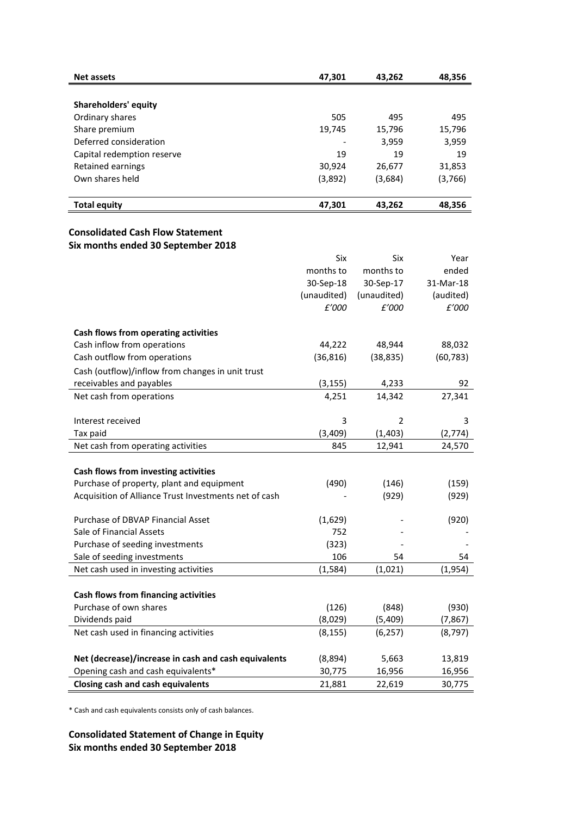| <b>Net assets</b>          | 47,301  | 43,262  | 48,356  |
|----------------------------|---------|---------|---------|
|                            |         |         |         |
| Shareholders' equity       |         |         |         |
| Ordinary shares            | 505     | 495     | 495     |
| Share premium              | 19,745  | 15,796  | 15,796  |
| Deferred consideration     |         | 3,959   | 3,959   |
| Capital redemption reserve | 19      | 19      | 19      |
| Retained earnings          | 30,924  | 26,677  | 31,853  |
| Own shares held            | (3,892) | (3,684) | (3,766) |
|                            |         |         |         |
| <b>Total equity</b>        | 47,301  | 43,262  | 48,356  |

### **Consolidated Cash Flow Statement Six months ended 30 September 2018**

|                                                       | Six         | Six            | Year      |
|-------------------------------------------------------|-------------|----------------|-----------|
|                                                       | months to   | months to      | ended     |
|                                                       | 30-Sep-18   | 30-Sep-17      | 31-Mar-18 |
|                                                       | (unaudited) | (unaudited)    | (audited) |
|                                                       | £'000       | £'000          | £'000     |
|                                                       |             |                |           |
| Cash flows from operating activities                  |             |                |           |
| Cash inflow from operations                           | 44,222      | 48,944         | 88,032    |
| Cash outflow from operations                          | (36, 816)   | (38, 835)      | (60, 783) |
| Cash (outflow)/inflow from changes in unit trust      |             |                |           |
| receivables and payables                              | (3, 155)    | 4,233          | 92        |
| Net cash from operations                              | 4,251       | 14,342         | 27,341    |
|                                                       |             |                |           |
| Interest received                                     | 3           | $\overline{2}$ | 3         |
| Tax paid                                              | (3,409)     | (1, 403)       | (2,774)   |
| Net cash from operating activities                    | 845         | 12,941         | 24,570    |
|                                                       |             |                |           |
| Cash flows from investing activities                  |             |                |           |
| Purchase of property, plant and equipment             | (490)       | (146)          | (159)     |
| Acquisition of Alliance Trust Investments net of cash |             | (929)          | (929)     |
|                                                       |             |                |           |
| Purchase of DBVAP Financial Asset                     | (1,629)     |                | (920)     |
| Sale of Financial Assets                              | 752         |                |           |
| Purchase of seeding investments                       | (323)       |                |           |
| Sale of seeding investments                           | 106         | 54             | 54        |
| Net cash used in investing activities                 | (1, 584)    | (1,021)        | (1,954)   |
|                                                       |             |                |           |
| Cash flows from financing activities                  |             |                |           |
| Purchase of own shares                                | (126)       | (848)          | (930)     |
| Dividends paid                                        | (8,029)     | (5,409)        | (7, 867)  |
| Net cash used in financing activities                 | (8, 155)    | (6, 257)       | (8, 797)  |
|                                                       |             |                |           |
| Net (decrease)/increase in cash and cash equivalents  | (8,894)     | 5,663          | 13,819    |
| Opening cash and cash equivalents*                    | 30,775      | 16,956         | 16,956    |
| <b>Closing cash and cash equivalents</b>              | 21,881      | 22,619         | 30,775    |

\* Cash and cash equivalents consists only of cash balances.

**Consolidated Statement of Change in Equity Six months ended 30 September 2018**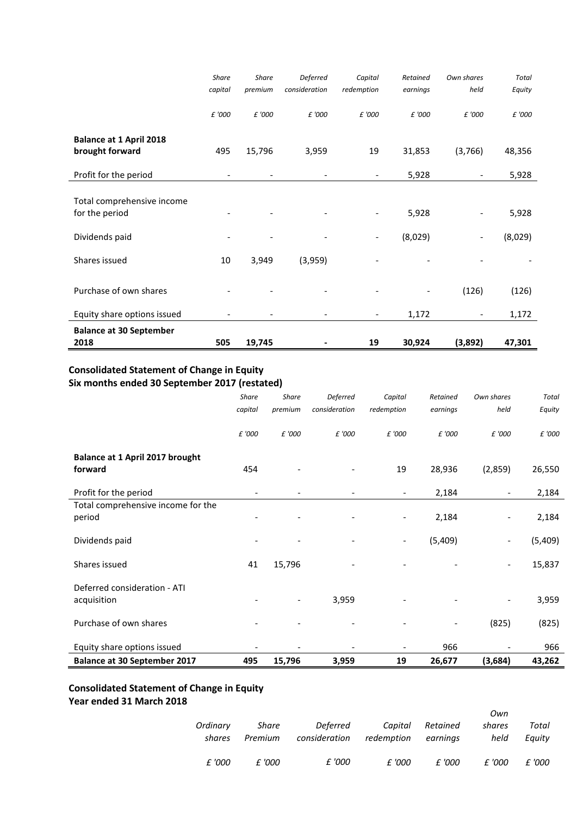|                                                   | <b>Share</b> | <b>Share</b> | <b>Deferred</b>          | Capital                  | Retained | Own shares               | <b>Total</b> |
|---------------------------------------------------|--------------|--------------|--------------------------|--------------------------|----------|--------------------------|--------------|
|                                                   | capital      | premium      | consideration            | redemption               | earnings | held                     | Equity       |
|                                                   | £ '000       | £ '000       | £ '000                   | £ '000                   | £ '000   | £ '000                   | £ '000       |
| <b>Balance at 1 April 2018</b><br>brought forward | 495          | 15,796       | 3,959                    | 19                       | 31,853   | (3,766)                  | 48,356       |
| Profit for the period                             |              |              |                          | $\overline{\phantom{a}}$ | 5,928    |                          | 5,928        |
|                                                   |              |              |                          |                          |          |                          |              |
| Total comprehensive income                        |              |              |                          |                          |          |                          |              |
| for the period                                    |              |              |                          |                          | 5,928    |                          | 5,928        |
| Dividends paid                                    |              |              | $\overline{\phantom{a}}$ | $\overline{\phantom{a}}$ | (8,029)  | $\overline{\phantom{a}}$ | (8,029)      |
| Shares issued                                     | 10           | 3,949        | (3,959)                  |                          |          |                          |              |
| Purchase of own shares                            |              |              |                          |                          |          | (126)                    | (126)        |
| Equity share options issued                       |              |              |                          | $\overline{\phantom{0}}$ | 1,172    |                          | 1,172        |
| <b>Balance at 30 September</b>                    |              |              |                          |                          |          |                          |              |
| 2018                                              | 505          | 19,745       |                          | 19                       | 30,924   | (3,892)                  | 47,301       |

### **Consolidated Statement of Change in Equity Six months ended 30 September 2017 (restated)**

|                                             | <b>Share</b>             | <b>Share</b>             | Deferred                 | Capital                  | Retained                 | Own shares               | <b>Total</b> |
|---------------------------------------------|--------------------------|--------------------------|--------------------------|--------------------------|--------------------------|--------------------------|--------------|
|                                             | capital                  | premium                  | consideration            | redemption               | earnings                 | held                     | Equity       |
|                                             | £ '000                   | £ '000                   | £ '000                   | £ '000                   | £ '000                   | £ '000                   | £ '000       |
| Balance at 1 April 2017 brought             |                          |                          |                          |                          |                          |                          |              |
| forward                                     | 454                      |                          |                          | 19                       | 28,936                   | (2,859)                  | 26,550       |
| Profit for the period                       | $\overline{\phantom{a}}$ |                          |                          | $\overline{\phantom{a}}$ | 2,184                    | $\overline{\phantom{a}}$ | 2,184        |
| Total comprehensive income for the          |                          |                          |                          |                          |                          |                          |              |
| period                                      |                          |                          |                          | $\overline{\phantom{a}}$ | 2,184                    |                          | 2,184        |
| Dividends paid                              |                          | $\overline{\phantom{a}}$ | $\overline{\phantom{a}}$ | $\overline{\phantom{a}}$ | (5,409)                  | $\overline{\phantom{a}}$ | (5,409)      |
| Shares issued                               | 41                       | 15,796                   |                          |                          |                          | $\overline{\phantom{a}}$ | 15,837       |
| Deferred consideration - ATI<br>acquisition |                          | $\overline{\phantom{a}}$ | 3,959                    |                          |                          | $\overline{\phantom{a}}$ | 3,959        |
|                                             |                          |                          |                          |                          |                          |                          |              |
| Purchase of own shares                      |                          |                          |                          |                          | $\overline{\phantom{m}}$ | (825)                    | (825)        |
| Equity share options issued                 |                          |                          |                          | $\qquad \qquad -$        | 966                      |                          | 966          |
| <b>Balance at 30 September 2017</b>         | 495                      | 15,796                   | 3,959                    | 19                       | 26,677                   | (3,684)                  | 43,262       |

# **Consolidated Statement of Change in Equity**

# **Year ended 31 March 2018**

|                    |                  |                           |                       |                      | Own            |                 |
|--------------------|------------------|---------------------------|-----------------------|----------------------|----------------|-----------------|
| Ordinary<br>shares | Share<br>Premium | Deferred<br>consideration | Capital<br>redemption | Retained<br>earnings | shares<br>held | Total<br>Eauitv |
| £ '000             | f '000           | £ '000                    | £ '000                | £ '000               | £ '000         | £ '000          |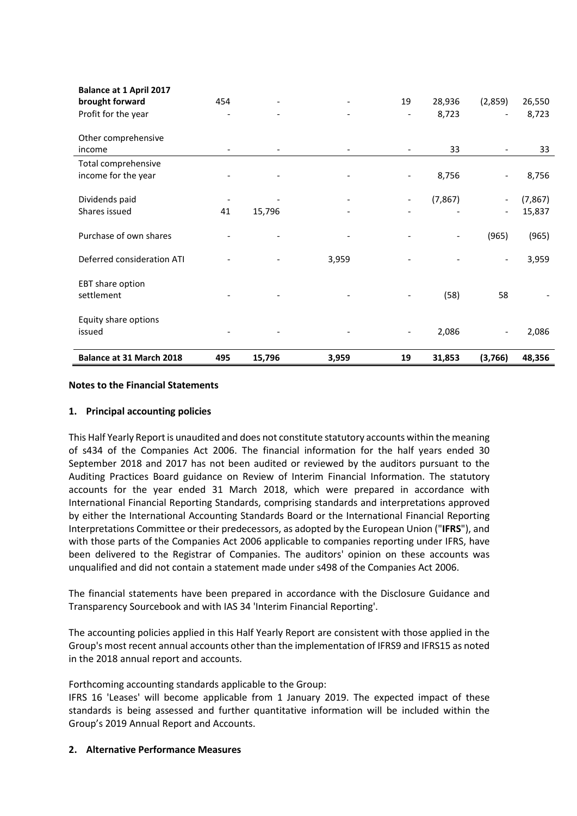| Balance at 31 March 2018                          | 495 | 15,796 | 3,959 | 19                       | 31,853   | (3,766)                  | 48,356   |
|---------------------------------------------------|-----|--------|-------|--------------------------|----------|--------------------------|----------|
| Equity share options<br>issued                    |     |        |       | $\overline{\phantom{a}}$ | 2,086    |                          | 2,086    |
| EBT share option<br>settlement                    |     |        |       |                          | (58)     | 58                       |          |
| Deferred consideration ATI                        |     |        | 3,959 |                          |          |                          | 3,959    |
| Purchase of own shares                            |     |        |       |                          |          | (965)                    | (965)    |
| Shares issued                                     | 41  | 15,796 |       |                          |          | $\overline{\phantom{a}}$ | 15,837   |
| Dividends paid                                    |     |        |       |                          | (7, 867) | $\overline{\phantom{a}}$ | (7, 867) |
| Total comprehensive<br>income for the year        |     |        |       |                          | 8,756    | $\qquad \qquad -$        | 8,756    |
| Other comprehensive<br>income                     |     |        |       |                          | 33       | $\overline{\phantom{a}}$ | 33       |
| Profit for the year                               |     |        |       | $\overline{\phantom{a}}$ | 8,723    |                          | 8,723    |
| <b>Balance at 1 April 2017</b><br>brought forward | 454 |        |       | 19                       | 28,936   | (2,859)                  | 26,550   |

### **Notes to the Financial Statements**

### **1. Principal accounting policies**

This Half Yearly Report is unaudited and does not constitute statutory accounts within the meaning of s434 of the Companies Act 2006. The financial information for the half years ended 30 September 2018 and 2017 has not been audited or reviewed by the auditors pursuant to the Auditing Practices Board guidance on Review of Interim Financial Information. The statutory accounts for the year ended 31 March 2018, which were prepared in accordance with International Financial Reporting Standards, comprising standards and interpretations approved by either the International Accounting Standards Board or the International Financial Reporting Interpretations Committee or their predecessors, as adopted by the European Union ("**IFRS**"), and with those parts of the Companies Act 2006 applicable to companies reporting under IFRS, have been delivered to the Registrar of Companies. The auditors' opinion on these accounts was unqualified and did not contain a statement made under s498 of the Companies Act 2006.

The financial statements have been prepared in accordance with the Disclosure Guidance and Transparency Sourcebook and with IAS 34 'Interim Financial Reporting'.

The accounting policies applied in this Half Yearly Report are consistent with those applied in the Group's most recent annual accounts other than the implementation of IFRS9 and IFRS15 as noted in the 2018 annual report and accounts.

Forthcoming accounting standards applicable to the Group:

IFRS 16 'Leases' will become applicable from 1 January 2019. The expected impact of these standards is being assessed and further quantitative information will be included within the Group's 2019 Annual Report and Accounts.

### **2. Alternative Performance Measures**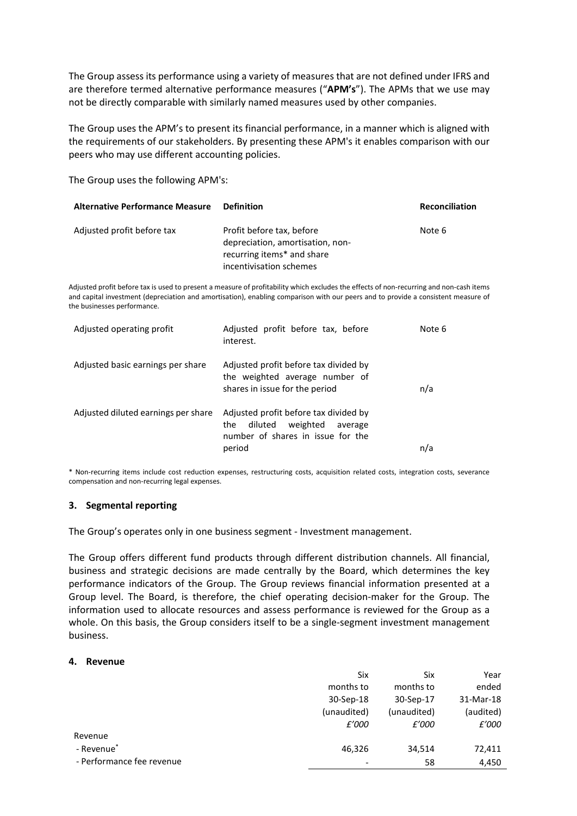The Group assess its performance using a variety of measures that are not defined under IFRS and are therefore termed alternative performance measures ("**APM's**"). The APMs that we use may not be directly comparable with similarly named measures used by other companies.

The Group uses the APM's to present its financial performance, in a manner which is aligned with the requirements of our stakeholders. By presenting these APM's it enables comparison with our peers who may use different accounting policies.

The Group uses the following APM's:

| <b>Alternative Performance Measure</b> | Definition                                                                                                             | <b>Reconciliation</b> |
|----------------------------------------|------------------------------------------------------------------------------------------------------------------------|-----------------------|
| Adjusted profit before tax             | Profit before tax, before<br>depreciation, amortisation, non-<br>recurring items* and share<br>incentivisation schemes | Note 6                |

Adjusted profit before tax is used to present a measure of profitability which excludes the effects of non-recurring and non-cash items and capital investment (depreciation and amortisation), enabling comparison with our peers and to provide a consistent measure of the businesses performance.

| Adjusted operating profit           | Adjusted profit before tax, before<br>interest.                                                                               | Note 6 |
|-------------------------------------|-------------------------------------------------------------------------------------------------------------------------------|--------|
| Adjusted basic earnings per share   | Adjusted profit before tax divided by<br>the weighted average number of<br>shares in issue for the period                     | n/a    |
| Adjusted diluted earnings per share | Adjusted profit before tax divided by<br>weighted<br>diluted<br>the<br>average<br>number of shares in issue for the<br>period | n/a    |

\* Non-recurring items include cost reduction expenses, restructuring costs, acquisition related costs, integration costs, severance compensation and non-recurring legal expenses.

### **3. Segmental reporting**

The Group's operates only in one business segment - Investment management.

The Group offers different fund products through different distribution channels. All financial, business and strategic decisions are made centrally by the Board, which determines the key performance indicators of the Group. The Group reviews financial information presented at a Group level. The Board, is therefore, the chief operating decision-maker for the Group. The information used to allocate resources and assess performance is reviewed for the Group as a whole. On this basis, the Group considers itself to be a single-segment investment management business.

### **4. Revenue**

|                           | Six         | Six         | Year      |
|---------------------------|-------------|-------------|-----------|
|                           | months to   | months to   | ended     |
|                           | 30-Sep-18   | 30-Sep-17   | 31-Mar-18 |
|                           | (unaudited) | (unaudited) | (audited) |
|                           | £'000       | £'000       | £'000     |
| Revenue                   |             |             |           |
| - Revenue <sup>*</sup>    | 46,326      | 34,514      | 72,411    |
| - Performance fee revenue |             | 58          | 4,450     |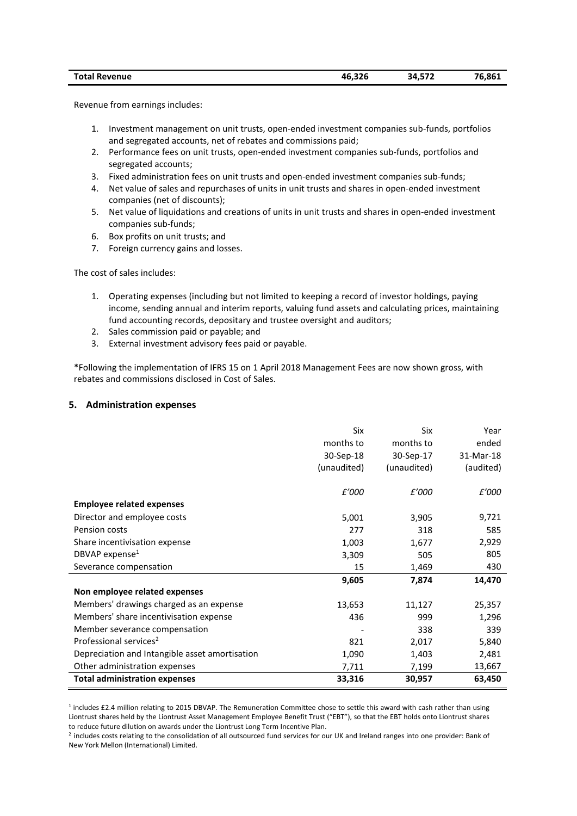| <b>Total Revenue</b> | 46.326 | 34,572 | 76,861 |
|----------------------|--------|--------|--------|
|----------------------|--------|--------|--------|

Revenue from earnings includes:

- 1. Investment management on unit trusts, open-ended investment companies sub-funds, portfolios and segregated accounts, net of rebates and commissions paid;
- 2. Performance fees on unit trusts, open-ended investment companies sub-funds, portfolios and segregated accounts;
- 3. Fixed administration fees on unit trusts and open-ended investment companies sub-funds;
- 4. Net value of sales and repurchases of units in unit trusts and shares in open-ended investment companies (net of discounts);
- 5. Net value of liquidations and creations of units in unit trusts and shares in open-ended investment companies sub-funds;
- 6. Box profits on unit trusts; and
- 7. Foreign currency gains and losses.

The cost of sales includes:

- 1. Operating expenses (including but not limited to keeping a record of investor holdings, paying income, sending annual and interim reports, valuing fund assets and calculating prices, maintaining fund accounting records, depositary and trustee oversight and auditors;
- 2. Sales commission paid or payable; and
- 3. External investment advisory fees paid or payable.

\*Following the implementation of IFRS 15 on 1 April 2018 Management Fees are now shown gross, with rebates and commissions disclosed in Cost of Sales.

### **5. Administration expenses**

|                                                | Six         | Six         | Year         |
|------------------------------------------------|-------------|-------------|--------------|
|                                                | months to   | months to   | ended        |
|                                                | 30-Sep-18   | 30-Sep-17   | 31-Mar-18    |
|                                                | (unaudited) | (unaudited) | (audited)    |
|                                                | £'000       | £'000       | <i>£'000</i> |
| <b>Employee related expenses</b>               |             |             |              |
| Director and employee costs                    | 5,001       | 3,905       | 9,721        |
| Pension costs                                  | 277         | 318         | 585          |
| Share incentivisation expense                  | 1,003       | 1,677       | 2,929        |
| DBVAP expense <sup>1</sup>                     | 3,309       | 505         | 805          |
| Severance compensation                         | 15          | 1,469       | 430          |
|                                                | 9,605       | 7,874       | 14,470       |
| Non employee related expenses                  |             |             |              |
| Members' drawings charged as an expense        | 13,653      | 11,127      | 25,357       |
| Members' share incentivisation expense         | 436         | 999         | 1,296        |
| Member severance compensation                  |             | 338         | 339          |
| Professional services <sup>2</sup>             | 821         | 2,017       | 5,840        |
| Depreciation and Intangible asset amortisation | 1,090       | 1,403       | 2,481        |
| Other administration expenses                  | 7,711       | 7,199       | 13,667       |
| <b>Total administration expenses</b>           | 33,316      | 30,957      | 63,450       |

<sup>1</sup> includes £2.4 million relating to 2015 DBVAP. The Remuneration Committee chose to settle this award with cash rather than using Liontrust shares held by the Liontrust Asset Management Employee Benefit Trust ("EBT"), so that the EBT holds onto Liontrust shares to reduce future dilution on awards under the Liontrust Long Term Incentive Plan.

<sup>2</sup> includes costs relating to the consolidation of all outsourced fund services for our UK and Ireland ranges into one provider: Bank of New York Mellon (International) Limited.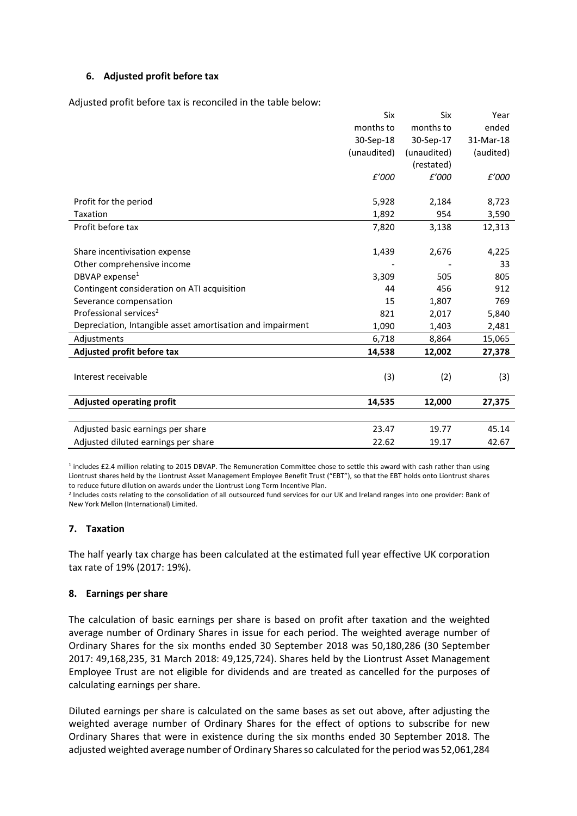### **6. Adjusted profit before tax**

Adjusted profit before tax is reconciled in the table below:

|                                                            | Six         | Six         | Year      |
|------------------------------------------------------------|-------------|-------------|-----------|
|                                                            | months to   | months to   | ended     |
|                                                            | 30-Sep-18   | 30-Sep-17   | 31-Mar-18 |
|                                                            | (unaudited) | (unaudited) | (audited) |
|                                                            |             | (restated)  |           |
|                                                            | £'000       | £'000       | £'000     |
|                                                            |             |             |           |
| Profit for the period                                      | 5,928       | 2,184       | 8,723     |
| Taxation                                                   | 1,892       | 954         | 3,590     |
| Profit before tax                                          | 7,820       | 3,138       | 12,313    |
|                                                            |             |             |           |
| Share incentivisation expense                              | 1,439       | 2,676       | 4,225     |
| Other comprehensive income                                 |             |             | 33        |
| DBVAP expense <sup>1</sup>                                 | 3,309       | 505         | 805       |
| Contingent consideration on ATI acquisition                | 44          | 456         | 912       |
| Severance compensation                                     | 15          | 1,807       | 769       |
| Professional services <sup>2</sup>                         | 821         | 2,017       | 5,840     |
| Depreciation, Intangible asset amortisation and impairment | 1,090       | 1,403       | 2,481     |
| Adjustments                                                | 6,718       | 8,864       | 15,065    |
| Adjusted profit before tax                                 | 14,538      | 12,002      | 27,378    |
|                                                            |             |             |           |
| Interest receivable                                        | (3)         | (2)         | (3)       |
|                                                            |             |             |           |
| <b>Adjusted operating profit</b>                           | 14,535      | 12,000      | 27,375    |
|                                                            |             |             |           |
| Adjusted basic earnings per share                          | 23.47       | 19.77       | 45.14     |
| Adjusted diluted earnings per share                        | 22.62       | 19.17       | 42.67     |

<sup>1</sup> includes £2.4 million relating to 2015 DBVAP. The Remuneration Committee chose to settle this award with cash rather than using Liontrust shares held by the Liontrust Asset Management Employee Benefit Trust ("EBT"), so that the EBT holds onto Liontrust shares to reduce future dilution on awards under the Liontrust Long Term Incentive Plan.

<sup>2</sup> Includes costs relating to the consolidation of all outsourced fund services for our UK and Ireland ranges into one provider: Bank of New York Mellon (International) Limited.

### **7. Taxation**

The half yearly tax charge has been calculated at the estimated full year effective UK corporation tax rate of 19% (2017: 19%).

### **8. Earnings per share**

The calculation of basic earnings per share is based on profit after taxation and the weighted average number of Ordinary Shares in issue for each period. The weighted average number of Ordinary Shares for the six months ended 30 September 2018 was 50,180,286 (30 September 2017: 49,168,235, 31 March 2018: 49,125,724). Shares held by the Liontrust Asset Management Employee Trust are not eligible for dividends and are treated as cancelled for the purposes of calculating earnings per share.

Diluted earnings per share is calculated on the same bases as set out above, after adjusting the weighted average number of Ordinary Shares for the effect of options to subscribe for new Ordinary Shares that were in existence during the six months ended 30 September 2018. The adjusted weighted average number of Ordinary Shares so calculated for the period was 52,061,284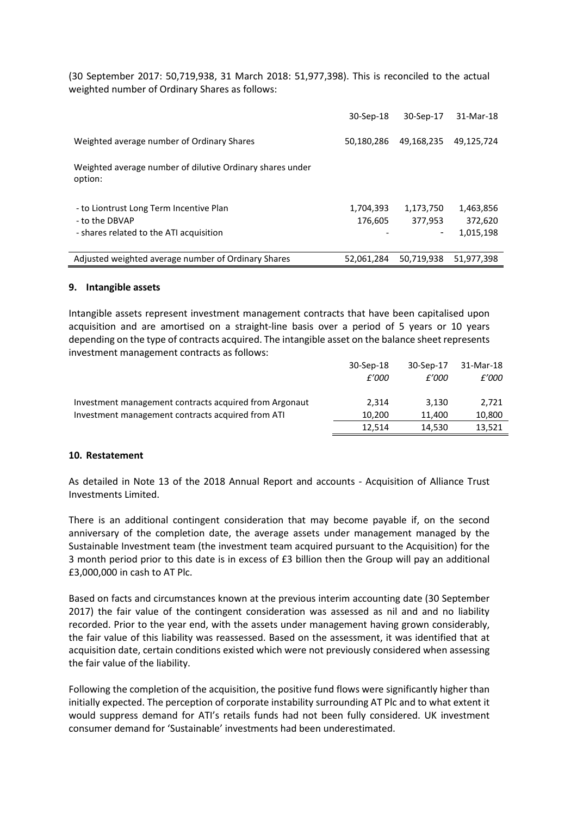(30 September 2017: 50,719,938, 31 March 2018: 51,977,398). This is reconciled to the actual weighted number of Ordinary Shares as follows:

|                                                                      | 30-Sep-18  | 30-Sep-17  | 31-Mar-18  |
|----------------------------------------------------------------------|------------|------------|------------|
| Weighted average number of Ordinary Shares                           | 50,180,286 | 49,168,235 | 49,125,724 |
| Weighted average number of dilutive Ordinary shares under<br>option: |            |            |            |
| - to Liontrust Long Term Incentive Plan                              | 1,704,393  | 1,173,750  | 1,463,856  |
| - to the DBVAP                                                       | 176,605    | 377,953    | 372,620    |
| - shares related to the ATI acquisition                              |            | -          | 1,015,198  |
| Adjusted weighted average number of Ordinary Shares                  | 52.061.284 | 50.719.938 | 51.977.398 |

### **9. Intangible assets**

Intangible assets represent investment management contracts that have been capitalised upon acquisition and are amortised on a straight-line basis over a period of 5 years or 10 years depending on the type of contracts acquired. The intangible asset on the balance sheet represents investment management contracts as follows:

|                                                        | 30-Sep-18 | 30-Sep-17 | 31-Mar-18 |
|--------------------------------------------------------|-----------|-----------|-----------|
|                                                        | £'000     | £'000     | £'000     |
| Investment management contracts acquired from Argonaut | 2.314     | 3.130     | 2.721     |
| Investment management contracts acquired from ATI      | 10.200    | 11.400    | 10,800    |
|                                                        | 12.514    | 14.530    | 13,521    |
|                                                        |           |           |           |

### **10. Restatement**

As detailed in Note 13 of the 2018 Annual Report and accounts - Acquisition of Alliance Trust Investments Limited.

There is an additional contingent consideration that may become payable if, on the second anniversary of the completion date, the average assets under management managed by the Sustainable Investment team (the investment team acquired pursuant to the Acquisition) for the 3 month period prior to this date is in excess of £3 billion then the Group will pay an additional £3,000,000 in cash to AT Plc.

Based on facts and circumstances known at the previous interim accounting date (30 September 2017) the fair value of the contingent consideration was assessed as nil and and no liability recorded. Prior to the year end, with the assets under management having grown considerably, the fair value of this liability was reassessed. Based on the assessment, it was identified that at acquisition date, certain conditions existed which were not previously considered when assessing the fair value of the liability.

Following the completion of the acquisition, the positive fund flows were significantly higher than initially expected. The perception of corporate instability surrounding AT Plc and to what extent it would suppress demand for ATI's retails funds had not been fully considered. UK investment consumer demand for 'Sustainable' investments had been underestimated.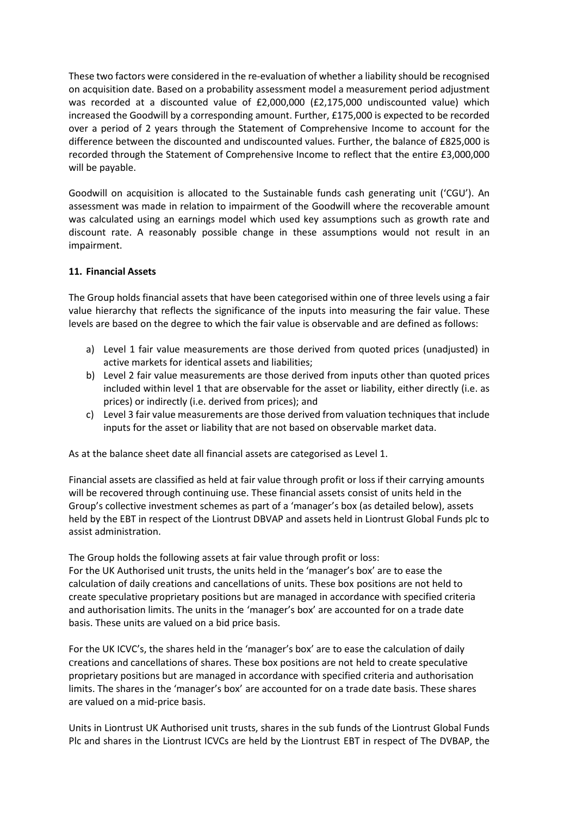These two factors were considered in the re-evaluation of whether a liability should be recognised on acquisition date. Based on a probability assessment model a measurement period adjustment was recorded at a discounted value of £2,000,000 (£2,175,000 undiscounted value) which increased the Goodwill by a corresponding amount. Further, £175,000 is expected to be recorded over a period of 2 years through the Statement of Comprehensive Income to account for the difference between the discounted and undiscounted values. Further, the balance of £825,000 is recorded through the Statement of Comprehensive Income to reflect that the entire £3,000,000 will be payable.

Goodwill on acquisition is allocated to the Sustainable funds cash generating unit ('CGU'). An assessment was made in relation to impairment of the Goodwill where the recoverable amount was calculated using an earnings model which used key assumptions such as growth rate and discount rate. A reasonably possible change in these assumptions would not result in an impairment.

### **11. Financial Assets**

The Group holds financial assets that have been categorised within one of three levels using a fair value hierarchy that reflects the significance of the inputs into measuring the fair value. These levels are based on the degree to which the fair value is observable and are defined as follows:

- a) Level 1 fair value measurements are those derived from quoted prices (unadjusted) in active markets for identical assets and liabilities;
- b) Level 2 fair value measurements are those derived from inputs other than quoted prices included within level 1 that are observable for the asset or liability, either directly (i.e. as prices) or indirectly (i.e. derived from prices); and
- c) Level 3 fair value measurements are those derived from valuation techniques that include inputs for the asset or liability that are not based on observable market data.

As at the balance sheet date all financial assets are categorised as Level 1.

Financial assets are classified as held at fair value through profit or loss if their carrying amounts will be recovered through continuing use. These financial assets consist of units held in the Group's collective investment schemes as part of a 'manager's box (as detailed below), assets held by the EBT in respect of the Liontrust DBVAP and assets held in Liontrust Global Funds plc to assist administration.

The Group holds the following assets at fair value through profit or loss: For the UK Authorised unit trusts, the units held in the 'manager's box' are to ease the calculation of daily creations and cancellations of units. These box positions are not held to create speculative proprietary positions but are managed in accordance with specified criteria and authorisation limits. The units in the 'manager's box' are accounted for on a trade date basis. These units are valued on a bid price basis.

For the UK ICVC's, the shares held in the 'manager's box' are to ease the calculation of daily creations and cancellations of shares. These box positions are not held to create speculative proprietary positions but are managed in accordance with specified criteria and authorisation limits. The shares in the 'manager's box' are accounted for on a trade date basis. These shares are valued on a mid-price basis.

Units in Liontrust UK Authorised unit trusts, shares in the sub funds of the Liontrust Global Funds Plc and shares in the Liontrust ICVCs are held by the Liontrust EBT in respect of The DVBAP, the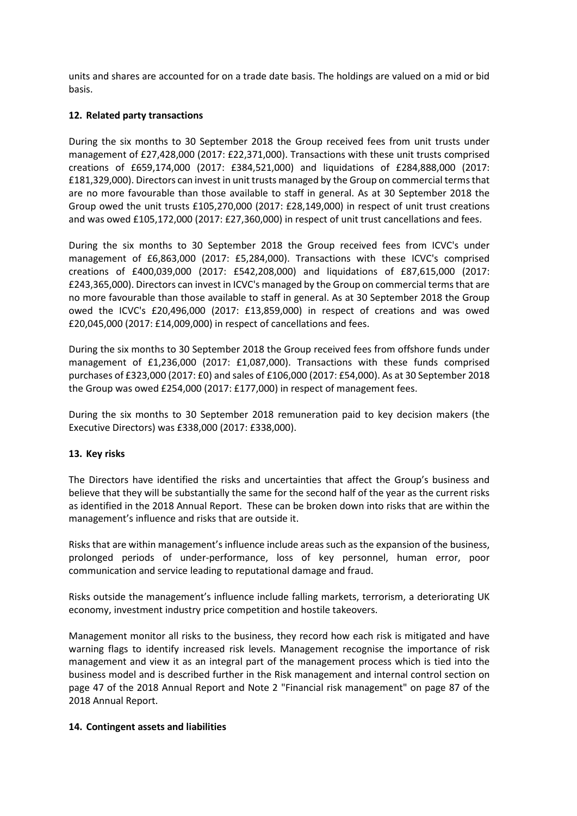units and shares are accounted for on a trade date basis. The holdings are valued on a mid or bid basis.

### **12. Related party transactions**

During the six months to 30 September 2018 the Group received fees from unit trusts under management of £27,428,000 (2017: £22,371,000). Transactions with these unit trusts comprised creations of £659,174,000 (2017: £384,521,000) and liquidations of £284,888,000 (2017: £181,329,000). Directors can invest in unit trusts managed by the Group on commercial terms that are no more favourable than those available to staff in general. As at 30 September 2018 the Group owed the unit trusts £105,270,000 (2017: £28,149,000) in respect of unit trust creations and was owed £105,172,000 (2017: £27,360,000) in respect of unit trust cancellations and fees.

During the six months to 30 September 2018 the Group received fees from ICVC's under management of £6,863,000 (2017: £5,284,000). Transactions with these ICVC's comprised creations of £400,039,000 (2017: £542,208,000) and liquidations of £87,615,000 (2017: £243,365,000). Directors can invest in ICVC's managed by the Group on commercial terms that are no more favourable than those available to staff in general. As at 30 September 2018 the Group owed the ICVC's £20,496,000 (2017: £13,859,000) in respect of creations and was owed £20,045,000 (2017: £14,009,000) in respect of cancellations and fees.

During the six months to 30 September 2018 the Group received fees from offshore funds under management of £1,236,000 (2017: £1,087,000). Transactions with these funds comprised purchases of £323,000 (2017: £0) and sales of £106,000 (2017: £54,000). As at 30 September 2018 the Group was owed £254,000 (2017: £177,000) in respect of management fees.

During the six months to 30 September 2018 remuneration paid to key decision makers (the Executive Directors) was £338,000 (2017: £338,000).

### **13. Key risks**

The Directors have identified the risks and uncertainties that affect the Group's business and believe that they will be substantially the same for the second half of the year as the current risks as identified in the 2018 Annual Report. These can be broken down into risks that are within the management's influence and risks that are outside it.

Risks that are within management's influence include areas such as the expansion of the business, prolonged periods of under-performance, loss of key personnel, human error, poor communication and service leading to reputational damage and fraud.

Risks outside the management's influence include falling markets, terrorism, a deteriorating UK economy, investment industry price competition and hostile takeovers.

Management monitor all risks to the business, they record how each risk is mitigated and have warning flags to identify increased risk levels. Management recognise the importance of risk management and view it as an integral part of the management process which is tied into the business model and is described further in the Risk management and internal control section on page 47 of the 2018 Annual Report and Note 2 "Financial risk management" on page 87 of the 2018 Annual Report.

### **14. Contingent assets and liabilities**